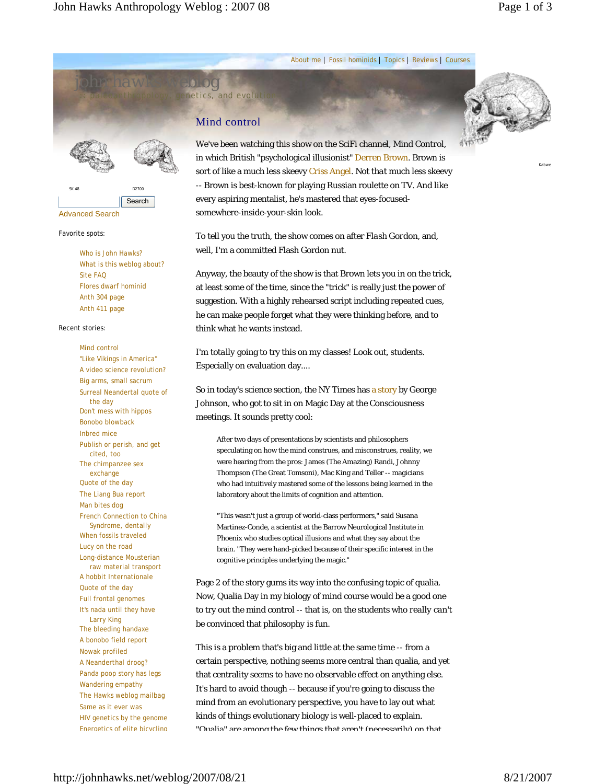*john hawks weblog*

About me | Fossil hominids | Topics | Reviews | Courses

# Mind control

netics, and evoluti



Kabwe

We've been watching this show on the SciFi channel, *Mind Control*, in which British "psychological illusionist" Derren Brown. Brown is sort of like a much less skeevy Criss Angel. Not *that* much less skeevy -- Brown is best-known for playing Russian roulette on TV. And like every aspiring mentalist, he's mastered that eyes-focusedsomewhere-inside-your-skin look.

To tell you the truth, the show comes on after *Flash Gordon*, and, well, I'm a committed Flash Gordon nut.

Anyway, the beauty of the show is that Brown lets you in on the trick, at least some of the time, since the "trick" is really just the power of suggestion. With a highly rehearsed script including repeated cues, he can make people forget what they were thinking before, and to think what he wants instead.

I'm *totally* going to try this on my classes! Look out, students. Especially on evaluation day....

So in today's science section, the *NY Times* has a story by George Johnson, who got to sit in on Magic Day at the Consciousness meetings. It sounds pretty cool:

After two days of presentations by scientists and philosophers speculating on how the mind construes, and misconstrues, reality, we were hearing from the pros: James (The Amazing) Randi, Johnny Thompson (The Great Tomsoni), Mac King and Teller -- magicians who had intuitively mastered some of the lessons being learned in the laboratory about the limits of cognition and attention.

"This wasn't just a group of world-class performers," said Susana Martinez-Conde, a scientist at the Barrow Neurological Institute in Phoenix who studies optical illusions and what they say about the brain. "They were hand-picked because of their specific interest in the cognitive principles underlying the magic."

Page 2 of the story gums its way into the confusing topic of qualia. Now, Qualia Day in my biology of mind course would be a good one to try out the mind control -- that is, on the students who *really can't* be convinced that *philosophy is fun*.

This is a problem that's big and little at the same time -- from a certain perspective, nothing seems more central than qualia, and yet that centrality seems to have no observable effect on anything else. It's hard to avoid though -- because if you're going to discuss the mind from an evolutionary perspective, you have to lay out what kinds of things evolutionary biology is well-placed to explain. "Qualia" are among the few things that aren't (necessarily) on that

Favorite spots: Who is John Hawks? What is this weblog about? Site FAQ Flores dwarf hominid Anth 304 page

Anth 411 page

I

SK 48 D2700

Search

Recent stories:

Advanced Search

Mind control "Like Vikings in America" A video science revolution? Big arms, small sacrum Surreal Neandertal quote of the day Don't mess with hippos Bonobo blowback Inbred mice Publish or perish, and get cited, too The chimpanzee sex exchange Quote of the day The Liang Bua report Man bites dog French Connection to China Syndrome, dentally When fossils traveled Lucy on the road Long-distance Mousterian raw material transport A hobbit Internationale Quote of the day Full frontal genomes It's nada until they have Larry King The bleeding handaxe A bonobo field report Nowak profiled A Neanderthal droog? Panda poop story has legs Wandering empathy The Hawks weblog mailbag Same as it ever was HIV genetics by the genome Energetics of elite bicycling